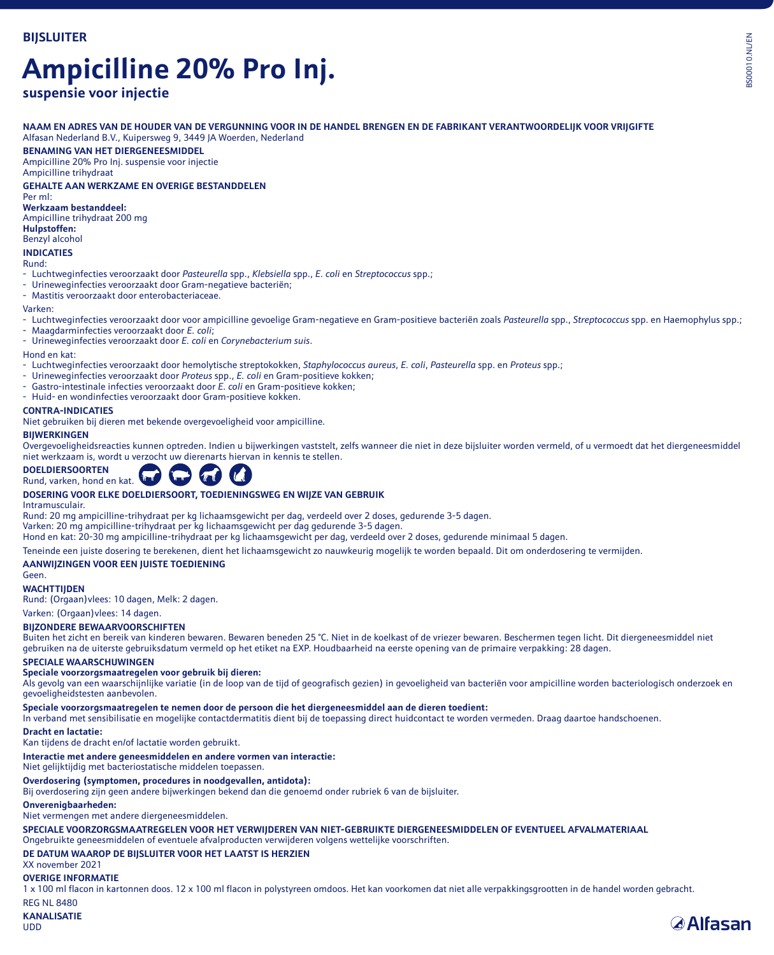# **Ampicilline 20% Pro Inj.**

# **suspensie voor injectie**

**NAAM EN ADRES VAN DE HOUDER VAN DE VERGUNNING VOOR IN DE HANDEL BRENGEN EN DE FABRIKANT VERANTWOORDELIJK VOOR VRIJGIFTE** Alfasan Nederland B.V., Kuipersweg 9, 3449 JA Woerden, Nederland

# **BENAMING VAN HET DIERGENEESMIDDEL**

Ampicilline 20% Pro Inj. suspensie voor injectie Ampicilline trihydraat

**GEHALTE AAN WERKZAME EN OVERIGE BESTANDDELEN**

Per ml: **Werkzaam bestanddeel:**

Ampicilline trihydraat 200 mg

**Hulpstoffen:**

# Benzyl alcohol

**INDICATIES**

Rund:

- Luchtweginfecties veroorzaakt door *Pasteurella* spp., *Klebsiella* spp., *E. coli* en *Streptococcus* spp.;
- Urineweginfecties veroorzaakt door Gram-negatieve bacteriën;
- Mastitis veroorzaakt door enterobacteriaceae.

### Varken:

- Luchtweginfecties veroorzaakt door voor ampicilline gevoelige Gram-negatieve en Gram-positieve bacteriën zoals *Pasteurella* spp., *Streptococcus* spp. en Haemophylus spp.;
- Maagdarminfecties veroorzaakt door *E. coli*;
- Urineweginfecties veroorzaakt door *E. coli* en *Corynebacterium suis*.

#### Hond en kat:

- Luchtweginfecties veroorzaakt door hemolytische streptokokken, *Staphylococcus aureus*, *E. coli*, *Pasteurella* spp. en *Proteus* spp.;
- Urineweginfecties veroorzaakt door *Proteus* spp., *E. coli* en Gram-positieve kokken;
- Gastro-intestinale infecties veroorzaakt door *E. coli* en Gram-positieve kokken;
- Huid- en wondinfecties veroorzaakt door Gram-positieve kokken.

### **CONTRA-INDICATIES**

Niet gebruiken bij dieren met bekende overgevoeligheid voor ampicilline.

### **BIJWERKINGEN**

Overgevoeligheidsreacties kunnen optreden. Indien u bijwerkingen vaststelt, zelfs wanneer die niet in deze bijsluiter worden vermeld, of u vermoedt dat het diergeneesmiddel niet werkzaam is, wordt u verzocht uw dierenarts hiervan in kennis te stellen.



# **DOSERING VOOR ELKE DOELDIERSOORT, TOEDIENINGSWEG EN WIJZE VAN GEBRUIK**

Intramusculair.

Rund: 20 mg ampicilline-trihydraat per kg lichaamsgewicht per dag, verdeeld over 2 doses, gedurende 3-5 dagen.<br>Varken: 20 mg ampicilline-trihydraat per kg lichaamsgewicht per dag gedurende 3-5 dagen.

Hond en kat: 20-30 mg ampicilline-trihydraat per kg lichaamsgewicht per dag, verdeeld over 2 doses, gedurende minimaal 5 dagen.

Teneinde een juiste dosering te berekenen, dient het lichaamsgewicht zo nauwkeurig mogelijk te worden bepaald. Dit om onderdosering te vermijden.

### **AANWIJZINGEN VOOR EEN JUISTE TOEDIENING**

Geen. **WACHTTIJDEN**

Rund: (Orgaan)vlees: 10 dagen, Melk: 2 dagen.

### Varken: (Orgaan)vlees: 14 dagen.

#### **BIJZONDERE BEWAARVOORSCHIFTEN**

Buiten het zicht en bereik van kinderen bewaren. Bewaren beneden 25 °C. Niet in de koelkast of de vriezer bewaren. Beschermen tegen licht. Dit diergeneesmiddel niet gebruiken na de uiterste gebruiksdatum vermeld op het etiket na EXP. Houdbaarheid na eerste opening van de primaire verpakking: 28 dagen.

### **SPECIALE WAARSCHUWINGEN**

### **Speciale voorzorgsmaatregelen voor gebruik bij dieren:**

Als gevolg van een waarschijnlijke variatie (in de loop van de tijd of geografisch gezien) in gevoeligheid van bacteriën voor ampicilline worden bacteriologisch onderzoek en gevoeligheidstesten aanbevolen.

# **Speciale voorzorgsmaatregelen te nemen door de persoon die het diergeneesmiddel aan de dieren toedient:**

In verband met sensibilisatie en mogelijke contactdermatitis dient bij de toepassing direct huidcontact te worden vermeden. Draag daartoe handschoenen.

### **Dracht en lactatie:**

Kan tijdens de dracht en/of lactatie worden gebruikt.

# **Interactie met andere geneesmiddelen en andere vormen van interactie:**

Niet gelijktijdig met bacteriostatische middelen toepassen.

### **Overdosering (symptomen, procedures in noodgevallen, antidota):**

Bij overdosering zijn geen andere bijwerkingen bekend dan die genoemd onder rubriek 6 van de bijsluiter.

### **Onverenigbaarheden:**

Niet vermengen met andere diergeneesmiddelen.

**SPECIALE VOORZORGSMAATREGELEN VOOR HET VERWIJDEREN VAN NIET-GEBRUIKTE DIERGENEESMIDDELEN OF EVENTUEEL AFVALMATERIAAL**

Ongebruikte geneesmiddelen of eventuele afvalproducten verwijderen volgens wettelijke voorschriften.

# **DE DATUM WAAROP DE BIJSLUITER VOOR HET LAATST IS HERZIEN**

XX november 2021

## **OVERIGE INFORMATIE**

1 x 100 ml flacon in kartonnen doos. 12 x 100 ml flacon in polystyreen omdoos. Het kan voorkomen dat niet alle verpakkingsgrootten in de handel worden gebracht. **REG NL 8480** 

# **KANALISATIE**

UDD